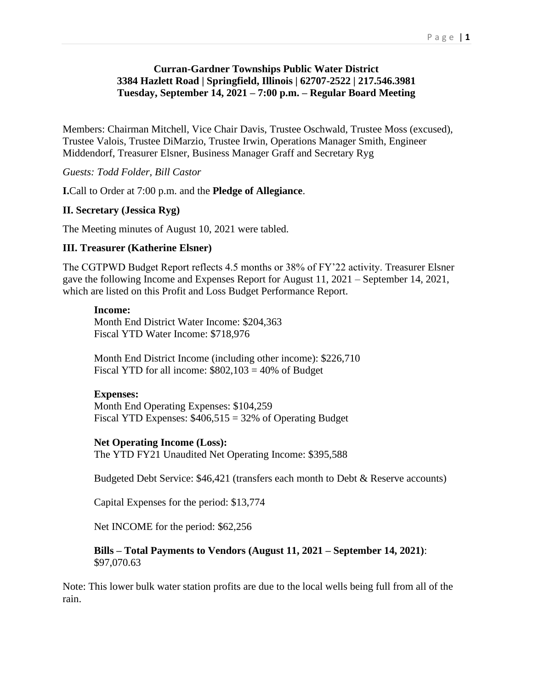## **Curran-Gardner Townships Public Water District 3384 Hazlett Road | Springfield, Illinois | 62707-2522 | 217.546.3981 Tuesday, September 14, 2021 – 7:00 p.m. – Regular Board Meeting**

Members: Chairman Mitchell, Vice Chair Davis, Trustee Oschwald, Trustee Moss (excused), Trustee Valois, Trustee DiMarzio, Trustee Irwin, Operations Manager Smith, Engineer Middendorf, Treasurer Elsner, Business Manager Graff and Secretary Ryg

*Guests: Todd Folder, Bill Castor*

**I.**Call to Order at 7:00 p.m. and the **Pledge of Allegiance**.

## **II. Secretary (Jessica Ryg)**

The Meeting minutes of August 10, 2021 were tabled.

#### **III. Treasurer (Katherine Elsner)**

The CGTPWD Budget Report reflects 4.5 months or 38% of FY'22 activity. Treasurer Elsner gave the following Income and Expenses Report for August 11, 2021 – September 14, 2021, which are listed on this Profit and Loss Budget Performance Report.

#### **Income:**

Month End District Water Income: \$204,363 Fiscal YTD Water Income: \$718,976

Month End District Income (including other income): \$226,710 Fiscal YTD for all income:  $$802,103 = 40\%$  of Budget

#### **Expenses:**

Month End Operating Expenses: \$104,259 Fiscal YTD Expenses:  $$406,515 = 32\%$  of Operating Budget

#### **Net Operating Income (Loss):**

The YTD FY21 Unaudited Net Operating Income: \$395,588

Budgeted Debt Service: \$46,421 (transfers each month to Debt & Reserve accounts)

Capital Expenses for the period: \$13,774

Net INCOME for the period: \$62,256

**Bills – Total Payments to Vendors (August 11, 2021 – September 14, 2021)**: \$97,070.63

Note: This lower bulk water station profits are due to the local wells being full from all of the rain.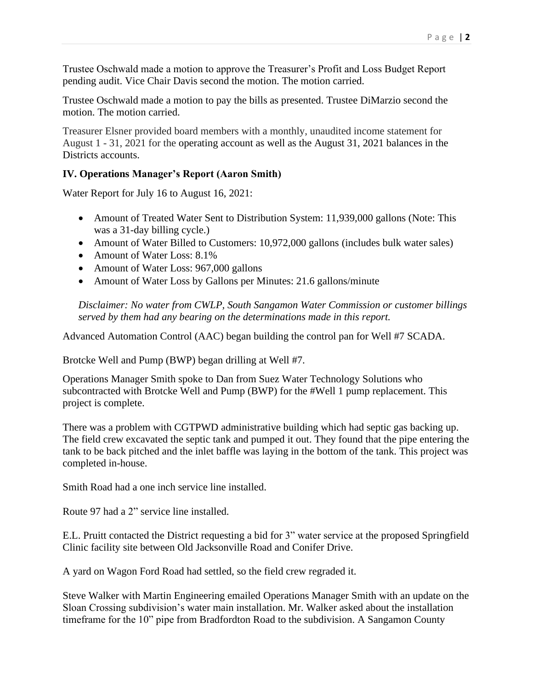Trustee Oschwald made a motion to approve the Treasurer's Profit and Loss Budget Report pending audit. Vice Chair Davis second the motion. The motion carried.

Trustee Oschwald made a motion to pay the bills as presented. Trustee DiMarzio second the motion. The motion carried.

Treasurer Elsner provided board members with a monthly, unaudited income statement for August 1 - 31, 2021 for the operating account as well as the August 31, 2021 balances in the Districts accounts.

## **IV. Operations Manager's Report (Aaron Smith)**

Water Report for July 16 to August 16, 2021:

- Amount of Treated Water Sent to Distribution System: 11,939,000 gallons (Note: This was a 31-day billing cycle.)
- Amount of Water Billed to Customers: 10,972,000 gallons (includes bulk water sales)
- Amount of Water Loss: 8.1%
- Amount of Water Loss: 967,000 gallons
- Amount of Water Loss by Gallons per Minutes: 21.6 gallons/minute

*Disclaimer: No water from CWLP, South Sangamon Water Commission or customer billings served by them had any bearing on the determinations made in this report.*

Advanced Automation Control (AAC) began building the control pan for Well #7 SCADA.

Brotcke Well and Pump (BWP) began drilling at Well #7.

Operations Manager Smith spoke to Dan from Suez Water Technology Solutions who subcontracted with Brotcke Well and Pump (BWP) for the #Well 1 pump replacement. This project is complete.

There was a problem with CGTPWD administrative building which had septic gas backing up. The field crew excavated the septic tank and pumped it out. They found that the pipe entering the tank to be back pitched and the inlet baffle was laying in the bottom of the tank. This project was completed in-house.

Smith Road had a one inch service line installed.

Route 97 had a 2" service line installed.

E.L. Pruitt contacted the District requesting a bid for 3" water service at the proposed Springfield Clinic facility site between Old Jacksonville Road and Conifer Drive.

A yard on Wagon Ford Road had settled, so the field crew regraded it.

Steve Walker with Martin Engineering emailed Operations Manager Smith with an update on the Sloan Crossing subdivision's water main installation. Mr. Walker asked about the installation timeframe for the 10" pipe from Bradfordton Road to the subdivision. A Sangamon County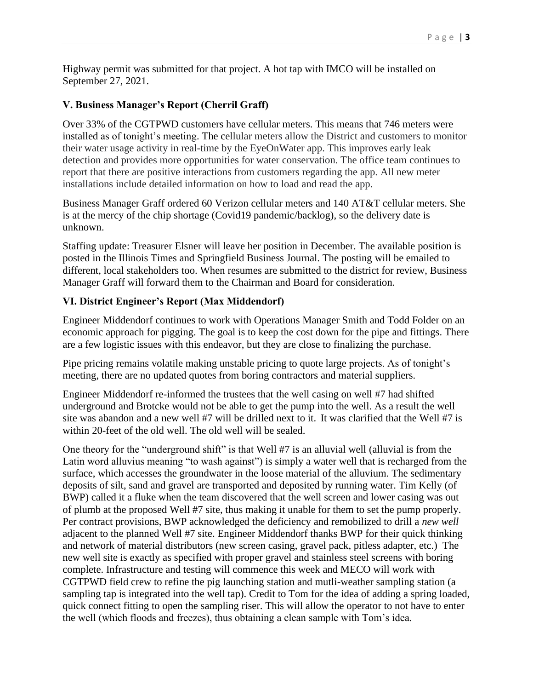Highway permit was submitted for that project. A hot tap with IMCO will be installed on September 27, 2021.

# **V. Business Manager's Report (Cherril Graff)**

Over 33% of the CGTPWD customers have cellular meters. This means that 746 meters were installed as of tonight's meeting. The cellular meters allow the District and customers to monitor their water usage activity in real-time by the EyeOnWater app. This improves early leak detection and provides more opportunities for water conservation. The office team continues to report that there are positive interactions from customers regarding the app. All new meter installations include detailed information on how to load and read the app.

Business Manager Graff ordered 60 Verizon cellular meters and 140 AT&T cellular meters. She is at the mercy of the chip shortage (Covid19 pandemic/backlog), so the delivery date is unknown.

Staffing update: Treasurer Elsner will leave her position in December. The available position is posted in the Illinois Times and Springfield Business Journal. The posting will be emailed to different, local stakeholders too. When resumes are submitted to the district for review, Business Manager Graff will forward them to the Chairman and Board for consideration.

## **VI. District Engineer's Report (Max Middendorf)**

Engineer Middendorf continues to work with Operations Manager Smith and Todd Folder on an economic approach for pigging. The goal is to keep the cost down for the pipe and fittings. There are a few logistic issues with this endeavor, but they are close to finalizing the purchase.

Pipe pricing remains volatile making unstable pricing to quote large projects. As of tonight's meeting, there are no updated quotes from boring contractors and material suppliers.

Engineer Middendorf re-informed the trustees that the well casing on well #7 had shifted underground and Brotcke would not be able to get the pump into the well. As a result the well site was abandon and a new well #7 will be drilled next to it. It was clarified that the Well #7 is within 20-feet of the old well. The old well will be sealed.

One theory for the "underground shift" is that Well #7 is an alluvial well (alluvial is from the Latin word alluvius meaning "to wash against") is simply a water well that is recharged from the surface, which accesses the groundwater in the loose material of the alluvium. The sedimentary deposits of silt, sand and gravel are transported and deposited by running water. Tim Kelly (of BWP) called it a fluke when the team discovered that the well screen and lower casing was out of plumb at the proposed Well #7 site, thus making it unable for them to set the pump properly. Per contract provisions, BWP acknowledged the deficiency and remobilized to drill a *new well* adjacent to the planned Well #7 site. Engineer Middendorf thanks BWP for their quick thinking and network of material distributors (new screen casing, gravel pack, pitless adapter, etc.) The new well site is exactly as specified with proper gravel and stainless steel screens with boring complete. Infrastructure and testing will commence this week and MECO will work with CGTPWD field crew to refine the pig launching station and mutli-weather sampling station (a sampling tap is integrated into the well tap). Credit to Tom for the idea of adding a spring loaded, quick connect fitting to open the sampling riser. This will allow the operator to not have to enter the well (which floods and freezes), thus obtaining a clean sample with Tom's idea.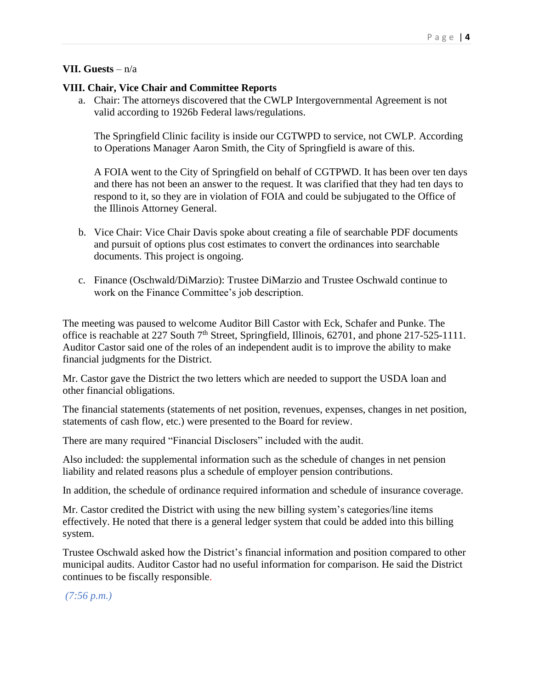#### **VII. Guests** – n/a

#### **VIII. Chair, Vice Chair and Committee Reports**

a. Chair: The attorneys discovered that the CWLP Intergovernmental Agreement is not valid according to 1926b Federal laws/regulations.

The Springfield Clinic facility is inside our CGTWPD to service, not CWLP. According to Operations Manager Aaron Smith, the City of Springfield is aware of this.

A FOIA went to the City of Springfield on behalf of CGTPWD. It has been over ten days and there has not been an answer to the request. It was clarified that they had ten days to respond to it, so they are in violation of FOIA and could be subjugated to the Office of the Illinois Attorney General.

- b. Vice Chair: Vice Chair Davis spoke about creating a file of searchable PDF documents and pursuit of options plus cost estimates to convert the ordinances into searchable documents. This project is ongoing.
- c. Finance (Oschwald/DiMarzio): Trustee DiMarzio and Trustee Oschwald continue to work on the Finance Committee's job description.

The meeting was paused to welcome Auditor Bill Castor with Eck, Schafer and Punke. The office is reachable at 227 South 7<sup>th</sup> Street, Springfield, Illinois, 62701, and phone 217-525-1111. Auditor Castor said one of the roles of an independent audit is to improve the ability to make financial judgments for the District.

Mr. Castor gave the District the two letters which are needed to support the USDA loan and other financial obligations.

The financial statements (statements of net position, revenues, expenses, changes in net position, statements of cash flow, etc.) were presented to the Board for review.

There are many required "Financial Disclosers" included with the audit.

Also included: the supplemental information such as the schedule of changes in net pension liability and related reasons plus a schedule of employer pension contributions.

In addition, the schedule of ordinance required information and schedule of insurance coverage.

Mr. Castor credited the District with using the new billing system's categories/line items effectively. He noted that there is a general ledger system that could be added into this billing system.

Trustee Oschwald asked how the District's financial information and position compared to other municipal audits. Auditor Castor had no useful information for comparison. He said the District continues to be fiscally responsible.

*(7:56 p.m.)*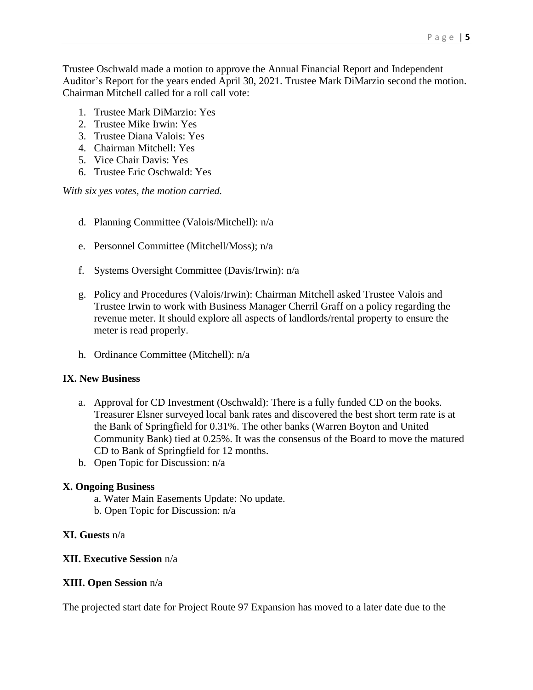Trustee Oschwald made a motion to approve the Annual Financial Report and Independent Auditor's Report for the years ended April 30, 2021. Trustee Mark DiMarzio second the motion. Chairman Mitchell called for a roll call vote:

- 1. Trustee Mark DiMarzio: Yes
- 2. Trustee Mike Irwin: Yes
- 3. Trustee Diana Valois: Yes
- 4. Chairman Mitchell: Yes
- 5. Vice Chair Davis: Yes
- 6. Trustee Eric Oschwald: Yes

*With six yes votes, the motion carried.* 

- d. Planning Committee (Valois/Mitchell): n/a
- e. Personnel Committee (Mitchell/Moss); n/a
- f. Systems Oversight Committee (Davis/Irwin): n/a
- g. Policy and Procedures (Valois/Irwin): Chairman Mitchell asked Trustee Valois and Trustee Irwin to work with Business Manager Cherril Graff on a policy regarding the revenue meter. It should explore all aspects of landlords/rental property to ensure the meter is read properly.
- h. Ordinance Committee (Mitchell): n/a

## **IX. New Business**

- a. Approval for CD Investment (Oschwald): There is a fully funded CD on the books. Treasurer Elsner surveyed local bank rates and discovered the best short term rate is at the Bank of Springfield for 0.31%. The other banks (Warren Boyton and United Community Bank) tied at 0.25%. It was the consensus of the Board to move the matured CD to Bank of Springfield for 12 months.
- b. Open Topic for Discussion: n/a

## **X. Ongoing Business**

- a. Water Main Easements Update: No update.
- b. Open Topic for Discussion: n/a

## **XI. Guests** n/a

## **XII. Executive Session** n/a

## **XIII. Open Session** n/a

The projected start date for Project Route 97 Expansion has moved to a later date due to the